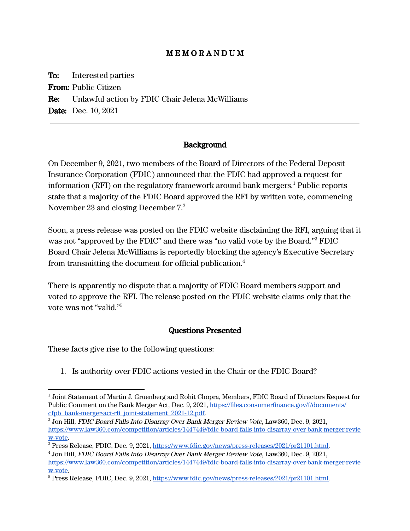## M E M O R A N D U M

To: Interested parties From: Public Citizen Re: Unlawful action by FDIC Chair Jelena McWilliams **Date:** Dec. 10, 2021

### Background

On December 9, 2021, two members of the Board of Directors of the Federal Deposit Insurance Corporation (FDIC) announced that the FDIC had approved a request for information (RFI) on the regulatory framework around bank mergers. <sup>1</sup> Public reports state that a majority of the FDIC Board approved the RFI by written vote, commencing November 23 and closing December  $7<sup>2</sup>$ .

Soon, a press release was posted on the FDIC website disclaiming the RFI, arguing that it was not "approved by the FDIC" and there was "no valid vote by the Board."<sup>3</sup> FDIC Board Chair Jelena McWilliams is reportedly blocking the agency's Executive Secretary from transmitting the document for official publication. 4

There is apparently no dispute that a majority of FDIC Board members support and voted to approve the RFI. The release posted on the FDIC website claims only that the vote was not "valid." 5

### Questions Presented

These facts give rise to the following questions:

1. Is authority over FDIC actions vested in the Chair or the FDIC Board?

<sup>1</sup> Joint Statement of Martin J. Gruenberg and Rohit Chopra, Members, FDIC Board of Directors Request for Public Comment on the Bank Merger Act, Dec. 9, 2021, [https://files.consumerfinance.gov/f/documents/](https://files.consumerfinance.gov/f/documents/cfpb_bank-merger-act-rfi_joint-statement_2021-12.pdf) [cfpb\\_bank-merger-act-rfi\\_joint-statement\\_2021-12.pdf.](https://files.consumerfinance.gov/f/documents/cfpb_bank-merger-act-rfi_joint-statement_2021-12.pdf)

<sup>2</sup> Jon Hill, FDIC Board Falls Into Disarray Over Bank Merger Review Vote, Law360, Dec. 9, 2021, [https://www.law360.com/competition/articles/1447449/fdic-board-falls-into-disarray-over-bank-merger-revie](https://www.law360.com/competition/articles/1447449/fdic-board-falls-into-disarray-over-bank-merger-review-vote) [w-vote](https://www.law360.com/competition/articles/1447449/fdic-board-falls-into-disarray-over-bank-merger-review-vote).

<sup>&</sup>lt;sup>3</sup> Press Release, FDIC, Dec. 9, 2021, [https://www.fdic.gov/news/press-releases/2021/pr21101.html.](https://www.fdic.gov/news/press-releases/2021/pr21101.html)

<sup>4</sup> Jon Hill, FDIC Board Falls Into Disarray Over Bank Merger Review Vote, Law360, Dec. 9, 2021, [https://www.law360.com/competition/articles/1447449/fdic-board-falls-into-disarray-over-bank-merger-revie](https://www.law360.com/competition/articles/1447449/fdic-board-falls-into-disarray-over-bank-merger-review-vote) [w-vote](https://www.law360.com/competition/articles/1447449/fdic-board-falls-into-disarray-over-bank-merger-review-vote).

<sup>&</sup>lt;sup>5</sup> Press Release, FDIC, Dec. 9, 2021, [https://www.fdic.gov/news/press-releases/2021/pr21101.html.](https://www.fdic.gov/news/press-releases/2021/pr21101.html)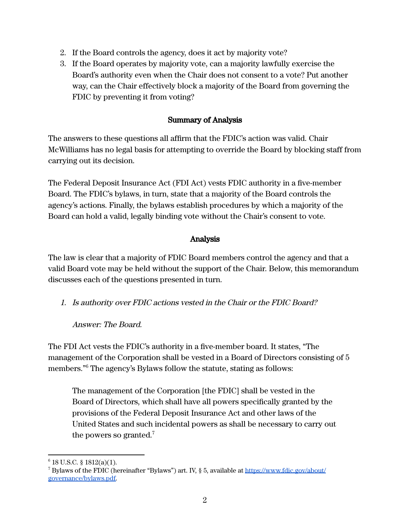- 2. If the Board controls the agency, does it act by majority vote?
- 3. If the Board operates by majority vote, can a majority lawfully exercise the Board's authority even when the Chair does not consent to a vote? Put another way, can the Chair effectively block a majority of the Board from governing the FDIC by preventing it from voting?

## Summary of Analysis

The answers to these questions all affirm that the FDIC's action was valid. Chair McWilliams has no legal basis for attempting to override the Board by blocking staff from carrying out its decision.

The Federal Deposit Insurance Act (FDI Act) vests FDIC authority in a five-member Board. The FDIC's bylaws, in turn, state that a majority of the Board controls the agency's actions. Finally, the bylaws establish procedures by which a majority of the Board can hold a valid, legally binding vote without the Chair's consent to vote.

## Analysis

The law is clear that a majority of FDIC Board members control the agency and that a valid Board vote may be held without the support of the Chair. Below, this memorandum discusses each of the questions presented in turn.

1. Is authority over FDIC actions vested in the Chair or the FDIC Board?

### Answer: The Board.

The FDI Act vests the FDIC's authority in a five-member board. It states, "The management of the Corporation shall be vested in a Board of Directors consisting of 5 members." <sup>6</sup> The agency's Bylaws follow the statute, stating as follows:

The management of the Corporation [the FDIC] shall be vested in the Board of Directors, which shall have all powers specifically granted by the provisions of the Federal Deposit Insurance Act and other laws of the United States and such incidental powers as shall be necessary to carry out the powers so granted.<sup>7</sup>

 $6$  18 U.S.C. § 1812(a)(1).

<sup>&</sup>lt;sup>7</sup> Bylaws of the FDIC (hereinafter "Bylaws") art. IV, § 5, available at [https://www.fdic.gov/about/](https://www.fdic.gov/about/governance/bylaws.pdf) [governance/bylaws.pdf.](https://www.fdic.gov/about/governance/bylaws.pdf)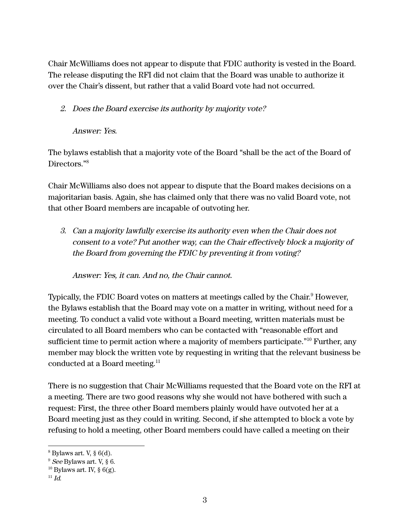Chair McWilliams does not appear to dispute that FDIC authority is vested in the Board. The release disputing the RFI did not claim that the Board was unable to authorize it over the Chair's dissent, but rather that a valid Board vote had not occurred.

2. Does the Board exercise its authority by majority vote?

Answer: Yes.

The bylaws establish that a majority vote of the Board "shall be the act of the Board of Directors." 8

Chair McWilliams also does not appear to dispute that the Board makes decisions on a majoritarian basis. Again, she has claimed only that there was no valid Board vote, not that other Board members are incapable of outvoting her.

3. Can <sup>a</sup> majority lawfully exercise its authority even when the Chair does not consent to <sup>a</sup> vote? Put another way, can the Chair effectively block a majority of the Board from governing the FDIC by preventing it from voting?

Answer: Yes, it can. And no, the Chair cannot.

Typically, the FDIC Board votes on matters at meetings called by the Chair.<sup>9</sup> However, the Bylaws establish that the Board may vote on a matter in writing, without need for a meeting. To conduct a valid vote without a Board meeting, written materials must be circulated to all Board members who can be contacted with "reasonable effort and sufficient time to permit action where a majority of members participate.<sup>"10</sup> Further, any member may block the written vote by requesting in writing that the relevant business be conducted at a Board meeting. 11

There is no suggestion that Chair McWilliams requested that the Board vote on the RFI at a meeting. There are two good reasons why she would not have bothered with such a request: First, the three other Board members plainly would have outvoted her at a Board meeting just as they could in writing. Second, if she attempted to block a vote by refusing to hold a meeting, other Board members could have called a meeting on their

 $8$  Bylaws art. V,  $§$  6(d).

 $9$  See Bylaws art. V, § 6.

 $10$  Bylaws art. IV, § 6(g).

 $11$  Id.